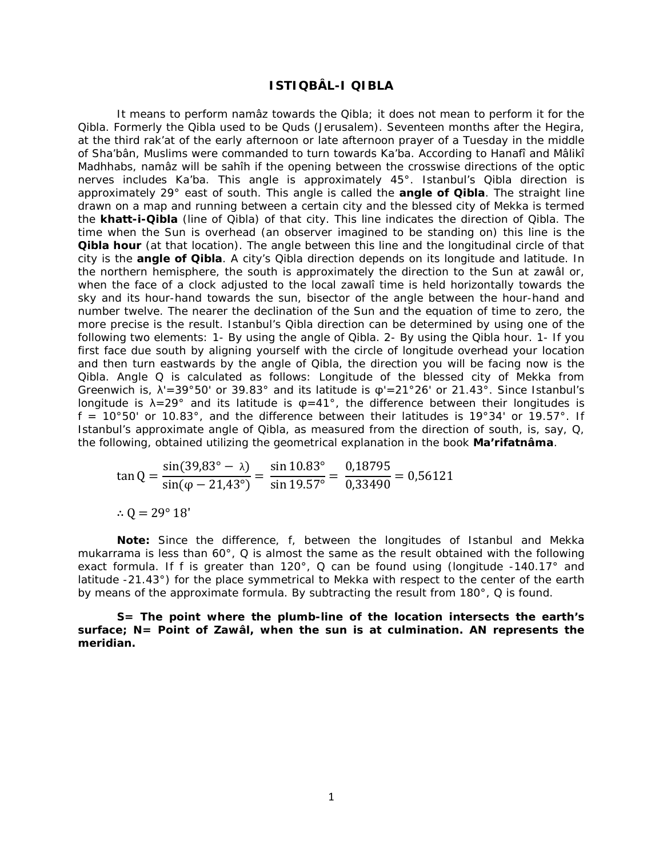## **ISTIQBÂL-I QIBLA**

It means to perform namâz towards the Qibla; it does not mean to perform it for the Qibla. Formerly the Qibla used to be Quds (Jerusalem). Seventeen months after the Hegira, at the third rak'at of the early afternoon or late afternoon prayer of a Tuesday in the middle of Sha'bân, Muslims were commanded to turn towards Ka'ba. According to Hanafî and Mâlikî Madhhabs, namâz will be sahîh if the opening between the crosswise directions of the optic nerves includes Ka'ba. This angle is approximately 45°. Istanbul's Qibla direction is approximately 29° east of south. This angle is called the **angle of Qibla**. The straight line drawn on a map and running between a certain city and the blessed city of Mekka is termed the **khatt-i-Qibla** (line of Qibla) of that city. This line indicates the direction of Qibla. The time when the Sun is overhead (an observer imagined to be standing on) this line is the **Qibla hour** (at that location). The angle between this line and the longitudinal circle of that city is the **angle of Qibla**. A city's Qibla direction depends on its longitude and latitude. In the northern hemisphere, the south is approximately the direction to the Sun at zawâl or, when the face of a clock adjusted to the local zawalî time is held horizontally towards the sky and its hour-hand towards the sun, bisector of the angle between the hour-hand and number twelve. The nearer the declination of the Sun and the equation of time to zero, the more precise is the result. Istanbul's Qibla direction can be determined by using one of the following two elements: 1- By using the angle of Qibla. 2- By using the Qibla hour. 1- If you first face due south by aligning yourself with the circle of longitude overhead your location and then turn eastwards by the angle of Qibla, the direction you will be facing now is the Qibla. Angle Q is calculated as follows: Longitude of the blessed city of Mekka from Greenwich is,  $\lambda' = 39^{\circ}50'$  or 39.83° and its latitude is  $\varphi' = 21^{\circ}26'$  or 21.43°. Since Istanbul's longitude is  $\lambda = 29^{\circ}$  and its latitude is  $\varphi = 41^{\circ}$ , the difference between their longitudes is  $f = 10°50'$  or 10.83°, and the difference between their latitudes is 19°34' or 19.57°. If Istanbul's approximate angle of Qibla, as measured from the direction of south, is, say, Q, the following, obtained utilizing the geometrical explanation in the book **Ma'rifatnâma**.

$$
\tan Q = \frac{\sin(39.83^\circ - \lambda)}{\sin(\varphi - 21.43^\circ)} = \frac{\sin 10.83^\circ}{\sin 19.57^\circ} = \frac{0.18795}{0.33490} = 0.56121
$$

$$
\therefore Q = 29^{\circ} 18'
$$

**Note:** Since the difference, f, between the longitudes of Istanbul and Mekka mukarrama is less than 60°, Q is almost the same as the result obtained with the following exact formula. If f is greater than 120°, Q can be found using (longitude -140.17° and latitude -21.43°) for the place symmetrical to Mekka with respect to the center of the earth by means of the approximate formula. By subtracting the result from  $180^\circ$ , Q is found.

**S= The point where the plumb-line of the location intersects the earth's surface; N= Point of Zawâl, when the sun is at culmination. AN represents the meridian.**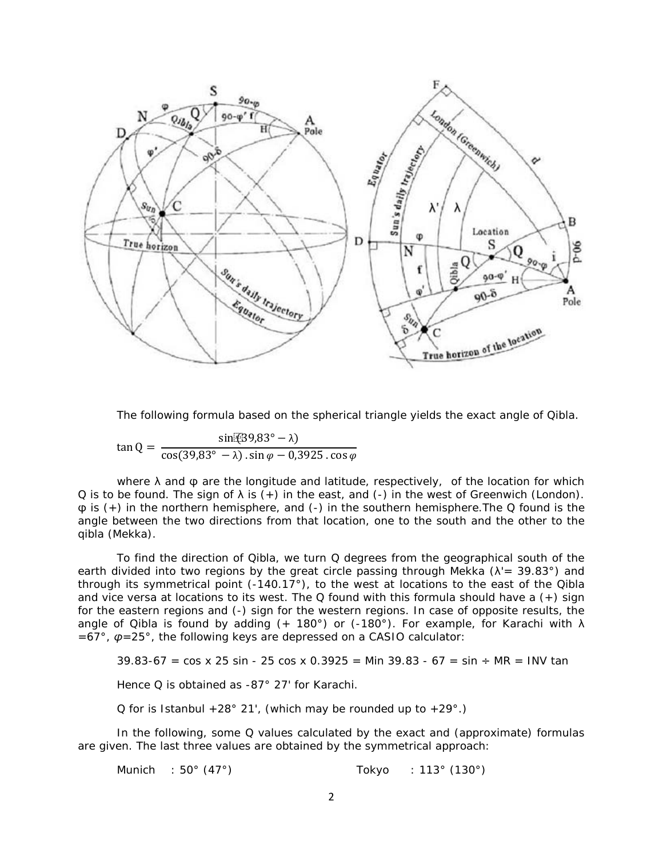

The following formula based on the spherical triangle yields the exact angle of Qibla.

$$
\tan Q = \frac{\sin\left(\frac{39,83^\circ - \lambda\right)}{\cos(39,83^\circ - \lambda)\cdot \sin\varphi - 0.3925\cdot \cos\varphi}
$$

where  $\lambda$  and  $\varphi$  are the longitude and latitude, respectively, of the location for which Q is to be found. The sign of  $\lambda$  is (+) in the east, and (-) in the west of Greenwich (London).  $\varphi$  is (+) in the northern hemisphere, and (-) in the southern hemisphere. The Q found is the angle between the two directions from that location, one to the south and the other to the qibla (Mekka).

To find the direction of Qibla, we turn Q degrees from the geographical south of the earth divided into two regions by the great circle passing through Mekka ( $\lambda$ '= 39.83°) and through its symmetrical point (-140.17°), to the west at locations to the east of the Qibla and vice versa at locations to its west. The Q found with this formula should have a  $(+)$  sign for the eastern regions and (-) sign for the western regions. In case of opposite results, the angle of Qibla is found by adding  $(+ 180^{\circ})$  or  $(-180^{\circ})$ . For example, for Karachi with  $\lambda$ =67°, *φ*=25°, the following keys are depressed on a CASIO calculator:

 $39.83-67 = \cos x 25 \sin - 25 \cos x 0.3925 = \text{Min } 39.83 - 67 = \sin \div \text{MR} = \text{INV } \tan$ Hence Q is obtained as -87° 27' for Karachi.

Q for is Istanbul +28 $^{\circ}$  21', (which may be rounded up to +29 $^{\circ}$ .)

In the following, some Q values calculated by the exact and (approximate) formulas are given. The last three values are obtained by the symmetrical approach:

Munich : 50° (47°) Tokyo : 113° (130°)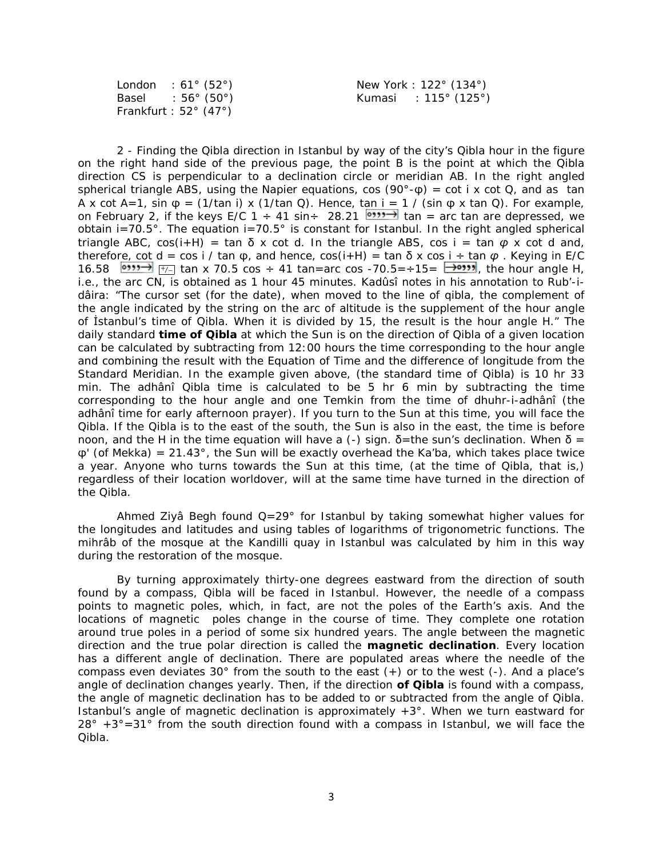| London : $61^{\circ}$ (52 $^{\circ}$ ) | New York: $122^{\circ}$ (134°) |
|----------------------------------------|--------------------------------|
| Basel : 56° (50°)                      | Kumasi : 115° (125°)           |
| Frankfurt : $52^{\circ}$ (47°)         |                                |

2 - Finding the Qibla direction in Istanbul by way of the city's Qibla hour in the figure on the right hand side of the previous page, the point B is the point at which the Qibla direction CS is perpendicular to a declination circle or meridian AB. In the right angled spherical triangle ABS, using the Napier equations, cos (90°- $\varphi$ ) = cot i x cot Q, and as tan A x cot A=1, sin  $\varphi$  = (1/tan i) x (1/tan Q). Hence, tan i = 1 / (sin  $\varphi$  x tan Q). For example, on February 2, if the keys E/C 1  $\div$  41 sin $\div$  28.21  $\circ$   $\leftrightarrow$  tan = arc tan are depressed, we obtain  $i=70.5^\circ$ . The equation  $i=70.5^\circ$  is constant for Istanbul. In the right angled spherical triangle ABC,  $cos(i+H) = tan δ x cot d$ . In the triangle ABS, cos i = tan *φ* x cot d and, therefore, cot d = cos i / tan  $\varphi$ , and hence, cos(i+H) = tan  $\delta$  x cos i ÷ tan  $\varphi$ . Keying in E/C 16.58  $\overrightarrow{0}$ ,  $\rightarrow$   $\rightarrow$   $\rightarrow$   $\rightarrow$  tan x 70.5 cos ÷ 41 tan=arc cos -70.5= ÷ 15=  $\rightarrow$  0.5. the hour angle H, i.e., the arc CN, is obtained as 1 hour 45 minutes. Kadûsî notes in his annotation to Rub'-idâira: "The cursor set (for the date), when moved to the line of qibla, the complement of the angle indicated by the string on the arc of altitude is the supplement of the hour angle of İstanbul's time of Qibla. When it is divided by 15, the result is the hour angle H." The daily standard **time of Qibla** at which the Sun is on the direction of Qibla of a given location can be calculated by subtracting from 12:00 hours the time corresponding to the hour angle and combining the result with the Equation of Time and the difference of longitude from the Standard Meridian. In the example given above, (the standard time of Qibla) is 10 hr 33 min. The adhânî Qibla time is calculated to be 5 hr 6 min by subtracting the time corresponding to the hour angle and one Temkin from the time of dhuhr-i-adhânî (the adhânî time for early afternoon prayer). If you turn to the Sun at this time, you will face the Qibla. If the Qibla is to the east of the south, the Sun is also in the east, the time is before noon, and the H in the time equation will have a (-) sign.  $\delta$ =the sun's declination. When  $\delta$  =  $\varphi$ ' (of Mekka) = 21.43°, the Sun will be exactly overhead the Ka'ba, which takes place twice a year. Anyone who turns towards the Sun at this time, (at the time of Qibla, that is,) regardless of their location worldover, will at the same time have turned in the direction of the Qibla.

Ahmed Ziyâ Begh found  $Q=29^\circ$  for Istanbul by taking somewhat higher values for the longitudes and latitudes and using tables of logarithms of trigonometric functions. The mihrâb of the mosque at the Kandilli quay in Istanbul was calculated by him in this way during the restoration of the mosque.

By turning approximately thirty-one degrees eastward from the direction of south found by a compass, Qibla will be faced in Istanbul. However, the needle of a compass points to magnetic poles, which, in fact, are not the poles of the Earth's axis. And the locations of magnetic poles change in the course of time. They complete one rotation around true poles in a period of some six hundred years. The angle between the magnetic direction and the true polar direction is called the **magnetic declination**. Every location has a different angle of declination. There are populated areas where the needle of the compass even deviates  $30^{\circ}$  from the south to the east  $(+)$  or to the west  $(-)$ . And a place's angle of declination changes yearly. Then, if the direction **of Qibla** is found with a compass, the angle of magnetic declination has to be added to or subtracted from the angle of Qibla. Istanbul's angle of magnetic declination is approximately +3°. When we turn eastward for  $28^\circ$  +3°=31° from the south direction found with a compass in Istanbul, we will face the Qibla.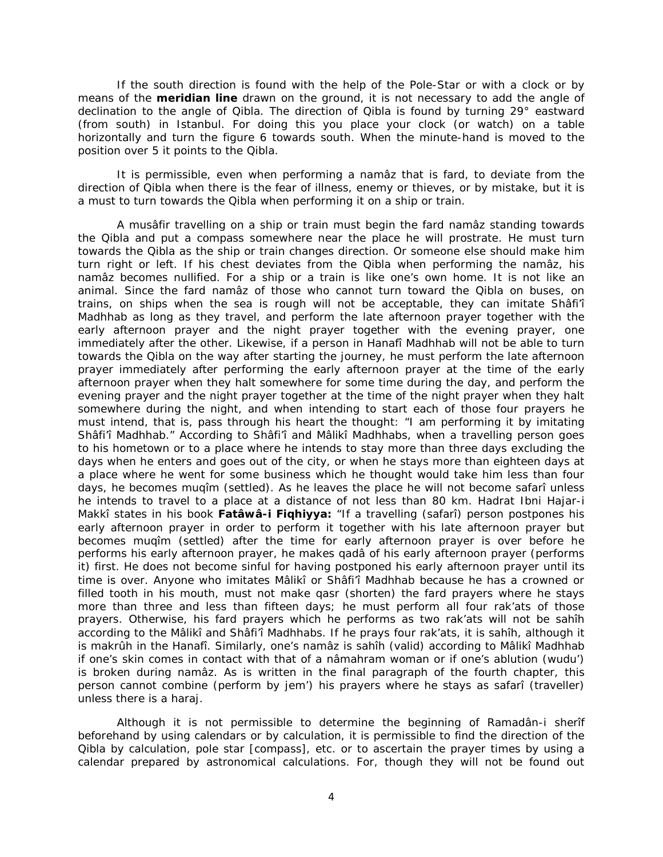If the south direction is found with the help of the Pole-Star or with a clock or by means of the **meridian line** drawn on the ground, it is not necessary to add the angle of declination to the angle of Qibla. The direction of Qibla is found by turning 29° eastward (from south) in Istanbul. For doing this you place your clock (or watch) on a table horizontally and turn the figure 6 towards south. When the minute-hand is moved to the position over 5 it points to the Qibla.

It is permissible, even when performing a namâz that is fard, to deviate from the direction of Qibla when there is the fear of illness, enemy or thieves, or by mistake, but it is a must to turn towards the Qibla when performing it on a ship or train.

A musâfir travelling on a ship or train must begin the fard namâz standing towards the Qibla and put a compass somewhere near the place he will prostrate. He must turn towards the Qibla as the ship or train changes direction. Or someone else should make him turn right or left. If his chest deviates from the Qibla when performing the namâz, his namâz becomes nullified. For a ship or a train is like one's own home. It is not like an animal. Since the fard namâz of those who cannot turn toward the Qibla on buses, on trains, on ships when the sea is rough will not be acceptable, they can imitate Shâfi'î Madhhab as long as they travel, and perform the late afternoon prayer together with the early afternoon prayer and the night prayer together with the evening prayer, one immediately after the other. Likewise, if a person in Hanafî Madhhab will not be able to turn towards the Qibla on the way after starting the journey, he must perform the late afternoon prayer immediately after performing the early afternoon prayer at the time of the early afternoon prayer when they halt somewhere for some time during the day, and perform the evening prayer and the night prayer together at the time of the night prayer when they halt somewhere during the night, and when intending to start each of those four prayers he must intend, that is, pass through his heart the thought: "I am performing it by imitating Shâfi'î Madhhab." According to Shâfi'î and Mâlikî Madhhabs, when a travelling person goes to his hometown or to a place where he intends to stay more than three days excluding the days when he enters and goes out of the city, or when he stays more than eighteen days at a place where he went for some business which he thought would take him less than four days, he becomes muqîm (settled). As he leaves the place he will not become safarî unless he intends to travel to a place at a distance of not less than 80 km. Hadrat Ibni Hajar-i Makkî states in his book **Fatâwâ-i Fiqhiyya:** "If a travelling (safarî) person postpones his early afternoon prayer in order to perform it together with his late afternoon prayer but becomes muqîm (settled) after the time for early afternoon prayer is over before he performs his early afternoon prayer, he makes qadâ of his early afternoon prayer (performs it) first. He does not become sinful for having postponed his early afternoon prayer until its time is over. Anyone who imitates Mâlikî or Shâfi'î Madhhab because he has a crowned or filled tooth in his mouth, must not make qasr (shorten) the fard prayers where he stays more than three and less than fifteen days; he must perform all four rak'ats of those prayers. Otherwise, his fard prayers which he performs as two rak'ats will not be sahîh according to the Mâlikî and Shâfi'î Madhhabs. If he prays four rak'ats, it is sahîh, although it is makrûh in the Hanafî. Similarly, one's namâz is sahîh (valid) according to Mâlikî Madhhab if one's skin comes in contact with that of a nâmahram woman or if one's ablution (wudu') is broken during namâz. As is written in the final paragraph of the fourth chapter, this person cannot combine (perform by jem') his prayers where he stays as safarî (traveller) unless there is a haraj.

Although it is not permissible to determine the beginning of Ramadân-i sherîf beforehand by using calendars or by calculation, it is permissible to find the direction of the Qibla by calculation, pole star [compass], etc. or to ascertain the prayer times by using a calendar prepared by astronomical calculations. For, though they will not be found out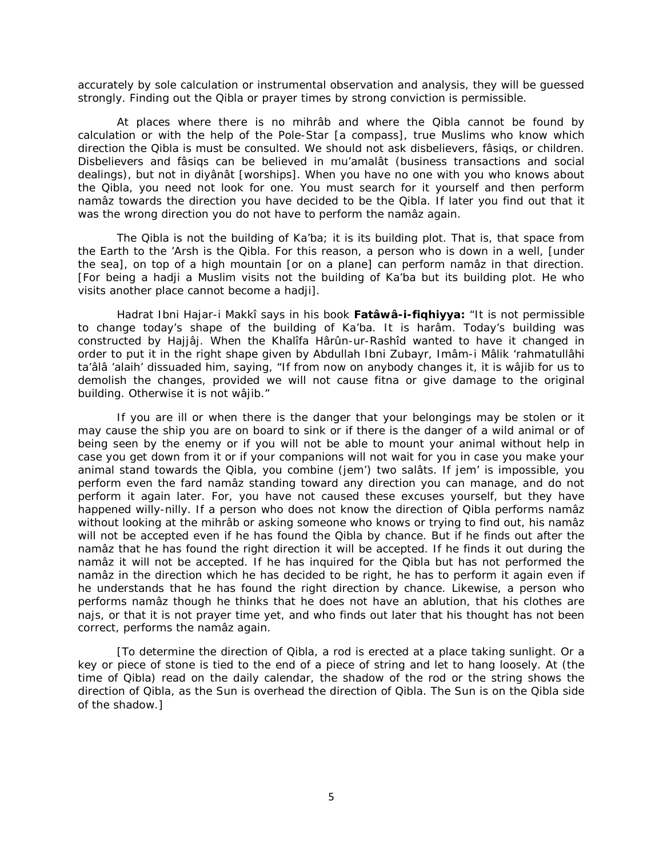accurately by sole calculation or instrumental observation and analysis, they will be guessed strongly. Finding out the Qibla or prayer times by strong conviction is permissible.

At places where there is no mihrâb and where the Qibla cannot be found by calculation or with the help of the Pole-Star [a compass], true Muslims who know which direction the Qibla is must be consulted. We should not ask disbelievers, fâsiqs, or children. Disbelievers and fâsiqs can be believed in mu'amalât (business transactions and social dealings), but not in diyânât [worships]. When you have no one with you who knows about the Qibla, you need not look for one. You must search for it yourself and then perform namâz towards the direction you have decided to be the Qibla. If later you find out that it was the wrong direction you do not have to perform the namâz again.

The Qibla is not the building of Ka'ba; it is its building plot. That is, that space from the Earth to the 'Arsh is the Qibla. For this reason, a person who is down in a well, [under the sea], on top of a high mountain [or on a plane] can perform namâz in that direction. [For being a hadji a Muslim visits not the building of Ka'ba but its building plot. He who visits another place cannot become a hadji].

Hadrat Ibni Hajar-i Makkî says in his book **Fatâwâ-i-fiqhiyya:** "It is not permissible to change today's shape of the building of Ka'ba. It is harâm. Today's building was constructed by Hajjâj. When the Khalîfa Hârûn-ur-Rashîd wanted to have it changed in order to put it in the right shape given by Abdullah Ibni Zubayr, Imâm-i Mâlik 'rahmatullâhi ta'âlâ 'alaih' dissuaded him, saying, "If from now on anybody changes it, it is wâjib for us to demolish the changes, provided we will not cause fitna or give damage to the original building. Otherwise it is not wâjib."

If you are ill or when there is the danger that your belongings may be stolen or it may cause the ship you are on board to sink or if there is the danger of a wild animal or of being seen by the enemy or if you will not be able to mount your animal without help in case you get down from it or if your companions will not wait for you in case you make your animal stand towards the Qibla, you combine (jem') two salâts. If jem' is impossible, you perform even the fard namâz standing toward any direction you can manage, and do not perform it again later. For, you have not caused these excuses yourself, but they have happened willy-nilly. If a person who does not know the direction of Qibla performs namâz without looking at the mihrâb or asking someone who knows or trying to find out, his namâz will not be accepted even if he has found the Qibla by chance. But if he finds out after the namâz that he has found the right direction it will be accepted. If he finds it out during the namâz it will not be accepted. If he has inquired for the Qibla but has not performed the namâz in the direction which he has decided to be right, he has to perform it again even if he understands that he has found the right direction by chance. Likewise, a person who performs namâz though he thinks that he does not have an ablution, that his clothes are najs, or that it is not prayer time yet, and who finds out later that his thought has not been correct, performs the namâz again.

[To determine the direction of Qibla, a rod is erected at a place taking sunlight. Or a key or piece of stone is tied to the end of a piece of string and let to hang loosely. At (the time of Qibla) read on the daily calendar, the shadow of the rod or the string shows the direction of Qibla, as the Sun is overhead the direction of Qibla. The Sun is on the Qibla side of the shadow.]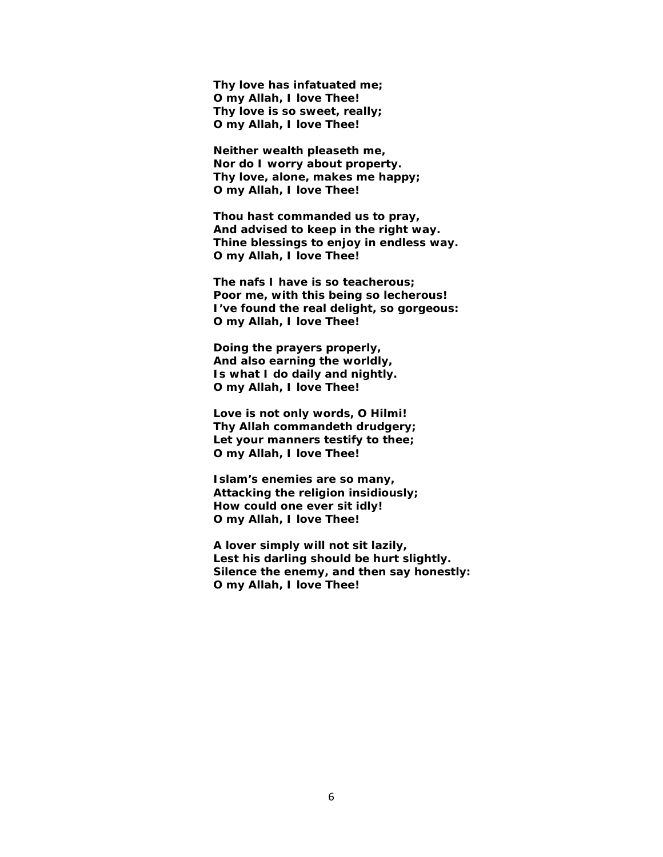**Thy love has infatuated me; O my Allah, I love Thee! Thy love is so sweet, really; O my Allah, I love Thee!**

**Neither wealth pleaseth me, Nor do I worry about property. Thy love, alone, makes me happy; O my Allah, I love Thee!**

**Thou hast commanded us to pray, And advised to keep in the right way. Thine blessings to enjoy in endless way. O my Allah, I love Thee!**

**The nafs I have is so teacherous; Poor me, with this being so lecherous! I've found the real delight, so gorgeous: O my Allah, I love Thee!**

**Doing the prayers properly, And also earning the worldly, Is what I do daily and nightly. O my Allah, I love Thee!**

**Love is not only words, O Hilmi! Thy Allah commandeth drudgery; Let your manners testify to thee; O my Allah, I love Thee!**

**Islam's enemies are so many, Attacking the religion insidiously; How could one ever sit idly! O my Allah, I love Thee!**

**A lover simply will not sit lazily, Lest his darling should be hurt slightly. Silence the enemy, and then say honestly: O my Allah, I love Thee!**